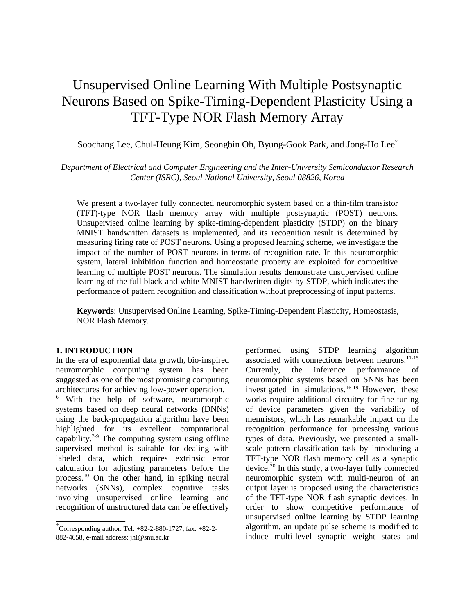# Unsupervised Online Learning With Multiple Postsynaptic Neurons Based on Spike-Timing-Dependent Plasticity Using a TFT-Type NOR Flash Memory Array

# Soochang Lee, Chul-Heung Kim, Seongbin Oh, Byung-Gook Park, and Jong-Ho Lee<sup>\*</sup>

# *Department of Electrical and Computer Engineering and the Inter-University Semiconductor Research Center (ISRC), Seoul National University, Seoul 08826, Korea*

We present a two-layer fully connected neuromorphic system based on a thin-film transistor (TFT)-type NOR flash memory array with multiple postsynaptic (POST) neurons. Unsupervised online learning by spike-timing-dependent plasticity (STDP) on the binary MNIST handwritten datasets is implemented, and its recognition result is determined by measuring firing rate of POST neurons. Using a proposed learning scheme, we investigate the impact of the number of POST neurons in terms of recognition rate. In this neuromorphic system, lateral inhibition function and homeostatic property are exploited for competitive learning of multiple POST neurons. The simulation results demonstrate unsupervised online learning of the full black-and-white MNIST handwritten digits by STDP, which indicates the performance of pattern recognition and classification without preprocessing of input patterns.

**Keywords**: Unsupervised Online Learning, Spike-Timing-Dependent Plasticity, Homeostasis, NOR Flash Memory.

#### **1. INTRODUCTION**

In the era of exponential data growth, bio-inspired neuromorphic computing system has been suggested as one of the most promising computing architectures for achieving low-power operation.1- <sup>6</sup> With the help of software, neuromorphic systems based on deep neural networks (DNNs) using the back-propagation algorithm have been highlighted for its excellent computational capability. $7-9$  The computing system using offline supervised method is suitable for dealing with labeled data, which requires extrinsic error calculation for adjusting parameters before the process. <sup>10</sup> On the other hand, in spiking neural networks (SNNs), complex cognitive tasks involving unsupervised online learning and recognition of unstructured data can be effectively

performed using STDP learning algorithm associated with connections between neurons. $11-15$ Currently, the inference performance of neuromorphic systems based on SNNs has been investigated in simulations. 16-19 However, these works require additional circuitry for fine-tuning of device parameters given the variability of memristors, which has remarkable impact on the recognition performance for processing various types of data. Previously, we presented a smallscale pattern classification task by introducing a TFT-type NOR flash memory cell as a synaptic device.<sup>20</sup> In this study, a two-layer fully connected neuromorphic system with multi-neuron of an output layer is proposed using the characteristics of the TFT-type NOR flash synaptic devices. In order to show competitive performance of unsupervised online learning by STDP learning algorithm, an update pulse scheme is modified to induce multi-level synaptic weight states and

<sup>\*</sup> Corresponding author. Tel: +82-2-880-1727, fax: +82-2- 882-4658, e-mail address: jhl@snu.ac.kr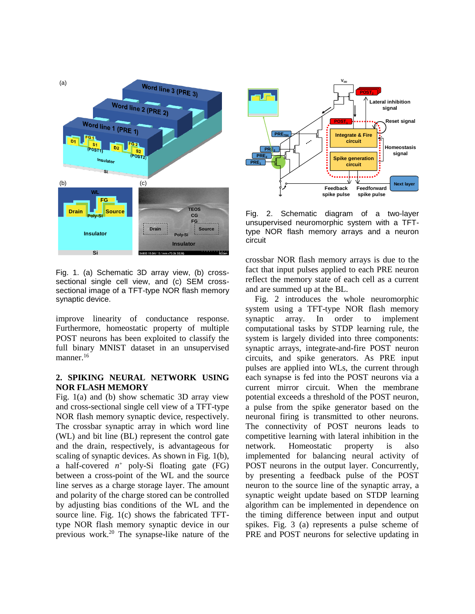

Fig. 1. (a) Schematic 3D array view, (b) crosssectional single cell view, and (c) SEM crosssectional image of a TFT-type NOR flash memory synaptic device.

improve linearity of conductance response. Furthermore, homeostatic property of multiple POST neurons has been exploited to classify the full binary MNIST dataset in an unsupervised manner.<sup>16</sup>

### **2. SPIKING NEURAL NETWORK USING NOR FLASH MEMORY**

Fig. 1(a) and (b) show schematic 3D array view and cross-sectional single cell view of a TFT-type NOR flash memory synaptic device, respectively. The crossbar synaptic array in which word line (WL) and bit line (BL) represent the control gate and the drain, respectively, is advantageous for scaling of synaptic devices. As shown in Fig. 1(b), a half-covered  $n^+$  poly-Si floating gate (FG) between a cross-point of the WL and the source line serves as a charge storage layer. The amount and polarity of the charge stored can be controlled by adjusting bias conditions of the WL and the source line. Fig. 1(c) shows the fabricated TFTtype NOR flash memory synaptic device in our previous work.<sup>20</sup> The synapse-like nature of the



Fig. 2. Schematic diagram of a two-layer unsupervised neuromorphic system with a TFTtype NOR flash memory arrays and a neuron circuit

crossbar NOR flash memory arrays is due to the fact that input pulses applied to each PRE neuron reflect the memory state of each cell as a current and are summed up at the BL.

Fig. 2 introduces the whole neuromorphic system using a TFT-type NOR flash memory synaptic array. In order to implement computational tasks by STDP learning rule, the system is largely divided into three components: synaptic arrays, integrate-and-fire POST neuron circuits, and spike generators. As PRE input pulses are applied into WLs, the current through each synapse is fed into the POST neurons via a current mirror circuit. When the membrane potential exceeds a threshold of the POST neuron, a pulse from the spike generator based on the neuronal firing is transmitted to other neurons. The connectivity of POST neurons leads to competitive learning with lateral inhibition in the network. Homeostatic property is also implemented for balancing neural activity of POST neurons in the output layer. Concurrently, by presenting a feedback pulse of the POST neuron to the source line of the synaptic array, a synaptic weight update based on STDP learning algorithm can be implemented in dependence on the timing difference between input and output spikes. Fig. 3 (a) represents a pulse scheme of PRE and POST neurons for selective updating in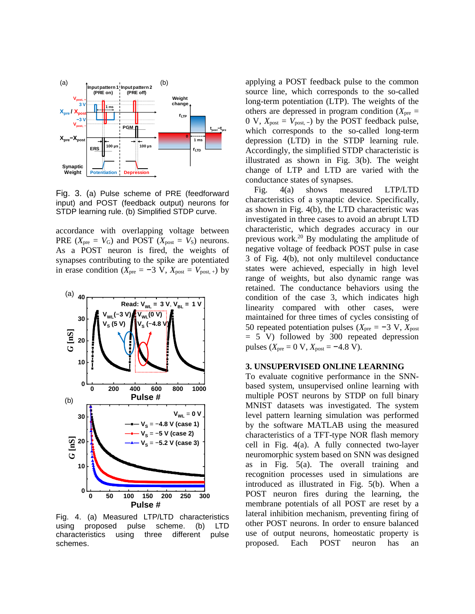

Fig. 3. (a) Pulse scheme of PRE (feedforward input) and POST (feedback output) neurons for STDP learning rule. (b) Simplified STDP curve.

accordance with overlapping voltage between PRE  $(X_{pre} = V_G)$  and POST  $(X_{post} = V_S)$  neurons. As a POST neuron is fired, the weights of synapses contributing to the spike are potentiated in erase condition ( $X_{pre} = -3$  V,  $X_{post} = V_{post,+}$ ) by



Fig. 4. (a) Measured LTP/LTD characteristics using proposed pulse scheme. (b) LTD characteristics using three different pulse schemes.

applying a POST feedback pulse to the common source line, which corresponds to the so-called long-term potentiation (LTP). The weights of the others are depressed in program condition  $(X<sub>pre</sub> =$ 0 V,  $X_{\text{post}} = V_{\text{post}}$ .  $\rightarrow$  by the POST feedback pulse, which corresponds to the so-called long-term depression (LTD) in the STDP learning rule. Accordingly, the simplified STDP characteristic is illustrated as shown in Fig. 3(b). The weight change of LTP and LTD are varied with the conductance states of synapses.

Fig. 4(a) shows measured LTP/LTD characteristics of a synaptic device. Specifically, as shown in Fig. 4(b), the LTD characteristic was investigated in three cases to avoid an abrupt LTD characteristic, which degrades accuracy in our previous work.<sup>20</sup> By modulating the amplitude of negative voltage of feedback POST pulse in case 3 of Fig. 4(b), not only multilevel conductance states were achieved, especially in high level range of weights, but also dynamic range was retained. The conductance behaviors using the condition of the case 3, which indicates high linearity compared with other cases, were maintained for three times of cycles consisting of 50 repeated potentiation pulses ( $X_{pre}$  = −3 V,  $X_{post}$ = 5 V) followed by 300 repeated depression pulses ( $X_{pre}$  = 0 V,  $X_{post}$  = −4.8 V).

#### **3. UNSUPERVISED ONLINE LEARNING**

To evaluate cognitive performance in the SNNbased system, unsupervised online learning with **0 200 400 600 800 1000** multiple POST neurons by STDP on full binary MNIST datasets was investigated. The system level pattern learning simulation was performed by the software MATLAB using the measured characteristics of a TFT-type NOR flash memory cell in Fig. 4(a). A fully connected two-layer neuromorphic system based on SNN was designed as in Fig. 5(a). The overall training and recognition processes used in simulations are introduced as illustrated in Fig. 5(b). When a POST neuron fires during the learning, the **0 50 100 150 200 250 300** membrane potentials of all POST are reset by a lateral inhibition mechanism, preventing firing of other POST neurons. In order to ensure balanced use of output neurons, homeostatic property is proposed. Each POST neuron has an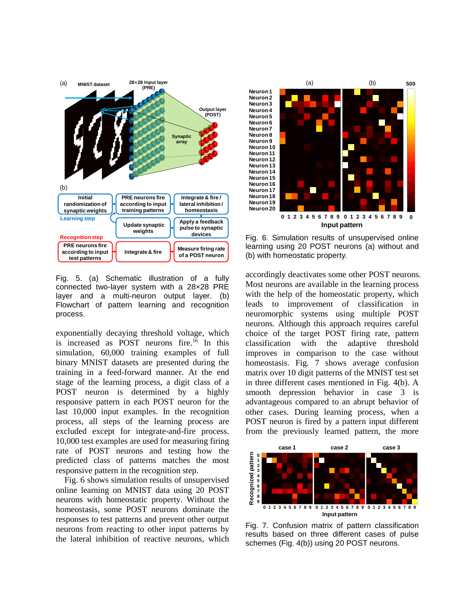

Fig. 5. (a) Schematic illustration of a fully connected two-layer system with a 28×28 PRE layer and a multi-neuron output layer. (b) Flowchart of pattern learning and recognition process.

exponentially decaying threshold voltage, which is increased as POST neurons fire. <sup>16</sup> In this simulation, 60,000 training examples of full binary MNIST datasets are presented during the training in a feed-forward manner. At the end stage of the learning process, a digit class of a POST neuron is determined by a highly responsive pattern in each POST neuron for the last 10,000 input examples. In the recognition process, all steps of the learning process are excluded except for integrate-and-fire process. 10,000 test examples are used for measuring firing rate of POST neurons and testing how the predicted class of patterns matches the most responsive pattern in the recognition step.

Fig. 6 shows simulation results of unsupervised online learning on MNIST data using 20 POST neurons with homeostatic property. Without the homeostasis, some POST neurons dominate the responses to test patterns and prevent other output neurons from reacting to other input patterns by the lateral inhibition of reactive neurons, which



Fig. 6. Simulation results of unsupervised online learning using 20 POST neurons (a) without and (b) with homeostatic property.

accordingly deactivates some other POST neurons. Most neurons are available in the learning process with the help of the homeostatic property, which leads to improvement of classification in neuromorphic systems using multiple POST neurons. Although this approach requires careful choice of the target POST firing rate, pattern classification with the adaptive threshold improves in comparison to the case without homeostasis. Fig. 7 shows average confusion matrix over 10 digit patterns of the MNIST test set in three different cases mentioned in Fig. 4(b). A smooth depression behavior in case 3 is advantageous compared to an abrupt behavior of other cases. During learning process, when a POST neuron is fired by a pattern input different from the previously learned pattern, the more



Fig. 7. Confusion matrix of pattern classification results based on three different cases of pulse schemes (Fig. 4(b)) using 20 POST neurons.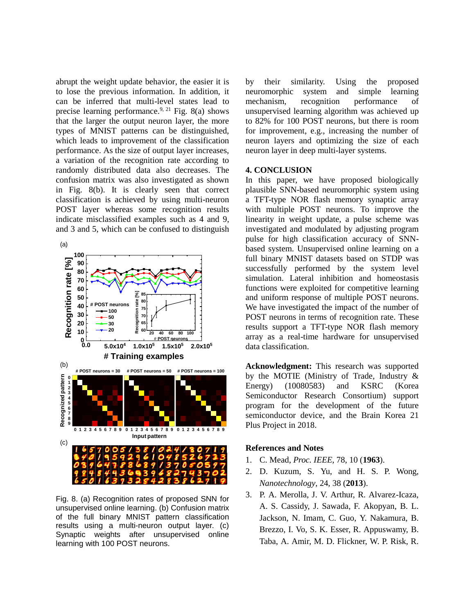abrupt the weight update behavior, the easier it is to lose the previous information. In addition, it can be inferred that multi-level states lead to precise learning performance.<sup>9, 21</sup> Fig. 8(a) shows that the larger the output neuron layer, the more types of MNIST patterns can be distinguished, which leads to improvement of the classification performance. As the size of output layer increases, a variation of the recognition rate according to randomly distributed data also decreases. The confusion matrix was also investigated as shown in Fig. 8(b). It is clearly seen that correct classification is achieved by using multi-neuron POST layer whereas some recognition results indicate misclassified examples such as 4 and 9, and 3 and 5, which can be confused to distinguish



Fig. 8. (a) Recognition rates of proposed SNN for unsupervised online learning. (b) Confusion matrix of the full binary MNIST pattern classification results using a multi-neuron output layer. (c) Synaptic weights after unsupervised online learning with 100 POST neurons.

by their similarity. Using the proposed neuromorphic system and simple learning mechanism, recognition performance of unsupervised learning algorithm was achieved up to 82% for 100 POST neurons, but there is room for improvement, e.g., increasing the number of neuron layers and optimizing the size of each neuron layer in deep multi-layer systems.

## **4. CONCLUSION**

In this paper, we have proposed biologically plausible SNN-based neuromorphic system using a TFT-type NOR flash memory synaptic array with multiple POST neurons. To improve the linearity in weight update, a pulse scheme was investigated and modulated by adjusting program pulse for high classification accuracy of SNNbased system. Unsupervised online learning on a full binary MNIST datasets based on STDP was successfully performed by the system level simulation. Lateral inhibition and homeostasis functions were exploited for competitive learning and uniform response of multiple POST neurons. <sup>75</sup>  $\mathbb{P}\left[\begin{array}{ccc} 1 & 1 \\ 1 & 1 \end{array}\right]$  POST neurons in terms of recognition rate. These **65** I results support a TFT-type NOR flash memory array as a real-time hardware for unsupervised **<sup>20</sup> <sup>20</sup> <sup>40</sup> <sup>60</sup> <sup>80</sup> <sup>100</sup>** # **POST neurons** data classification.

> **Acknowledgment:** This research was supported by the MOTIE (Ministry of Trade, Industry & Energy) (10080583) and KSRC (Korea Semiconductor Research Consortium) support program for the development of the future semiconductor device, and the Brain Korea 21 Plus Project in 2018.

#### **References and Notes**

- 1. C. Mead, *Proc. IEEE*, 78, 10 (**1963**).
- 2. D. Kuzum, S. Yu, and H. S. P. Wong, *Nanotechnology*, 24, 38 (**2013**).
- 3. P. A. Merolla, J. V. Arthur, R. Alvarez-Icaza, A. S. Cassidy, J. Sawada, F. Akopyan, B. L. Jackson, N. Imam, C. Guo, Y. Nakamura, B. Brezzo, I. Vo, S. K. Esser, R. Appuswamy, B. Taba, A. Amir, M. D. Flickner, W. P. Risk, R.